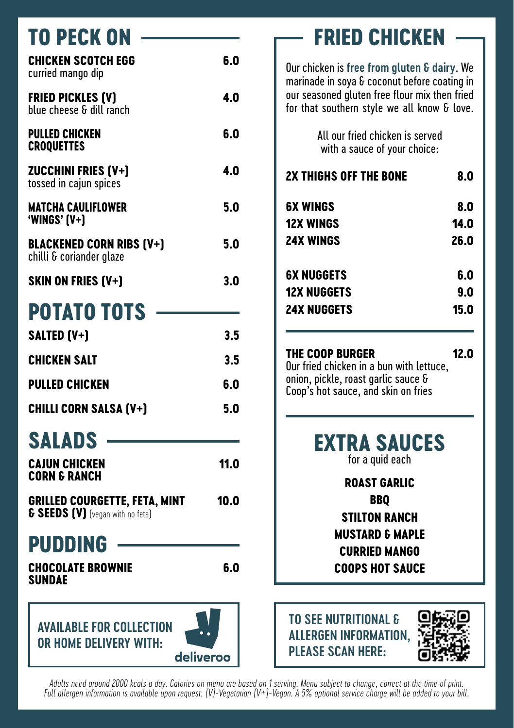| TO PECK ON                                                                          |      |
|-------------------------------------------------------------------------------------|------|
| <b>CHICKEN SCOTCH EGG</b><br>curried mango dip                                      | 6.0  |
| <b>FRIED PICKLES (V)</b><br>blue cheese & dill ranch                                | 4.0  |
| <b>PULLED CHICKEN</b><br><b>CROQUETTES</b>                                          | 6.0  |
| <b>ZUCCHINI FRIES (V+)</b><br>tossed in cajun spices                                | 4.0  |
| <b>MATCHA CAULIFLOWER</b><br>'WINGS' [V+]                                           | 5.0  |
| <b>BLACKENED CORN RIBS (V+)</b><br>chilli & coriander glaze                         | 5.0  |
| <b>SKIN ON FRIES (V+)</b>                                                           | 3.0  |
| <b>POTATO TOTS</b>                                                                  |      |
| <b>SALTED (V+)</b>                                                                  | 3.5  |
| CHICKEN SALT                                                                        | 3.5  |
| <b>PULLED CHICKEN</b>                                                               | 6.0  |
| <b>CHILLI CORN SALSA (V+)</b>                                                       | 5.0  |
| SALADS                                                                              |      |
| <b>CAJUN CHICKEN</b><br><b>CORN &amp; RANCH</b>                                     | 11.0 |
| <b>GRILLED COURGETTE, FETA, MINT</b><br><b>&amp; SEEDS (V)</b> [vegan with no feta] | 10.0 |
| PUDDING                                                                             |      |
| <b>CHOCOLATE BROWNIE</b><br>SUNDAE                                                  | 6.0  |
| <b>AVAILABLE FOR COLLECTION</b>                                                     |      |

**or home delivery with:**



Our chicken is **free from gluten & dairy**. We marinade in soya & coconut before coating in our seasoned gluten free flour mix then fried for that southern style we all know & love.

> All our fried chicken is served with a sauce of your choice:

| <b>2X THIGHS OFF THE BONE</b> | 8.0  |
|-------------------------------|------|
| 6X WINGS                      | 8.0  |
| <b>12X WINGS</b>              | 14.0 |
| <b>24X WINGS</b>              | 26.0 |
| <b>6X NUGGETS</b>             | 6.0  |
| <b>12X NUGGETS</b>            | 9.0  |
| <b>24X NUGGETS</b>            | 15.0 |
|                               |      |

## **The Coop BurgeR 12.0**

Our fried chicken in a bun with lettuce, onion, pickle, roast garlic sauce & Coop's hot sauce, and skin on fries

> **extra sauces** for a quid each

> > **Roast garlic BBQ Stilton ranch Mustard & maple Curried mango Chocolate Brownie****6.0 Coops hot sauce**



*Adults need around 2000 kcals a day. Calories on menu are based on 1 serving. Menu subject to change, correct at the time of print. Full allergen information is available upon request. (V)-Vegetarian (V+)-Vegan. A 5% optional service charge will be added to your bill.*

deliverod